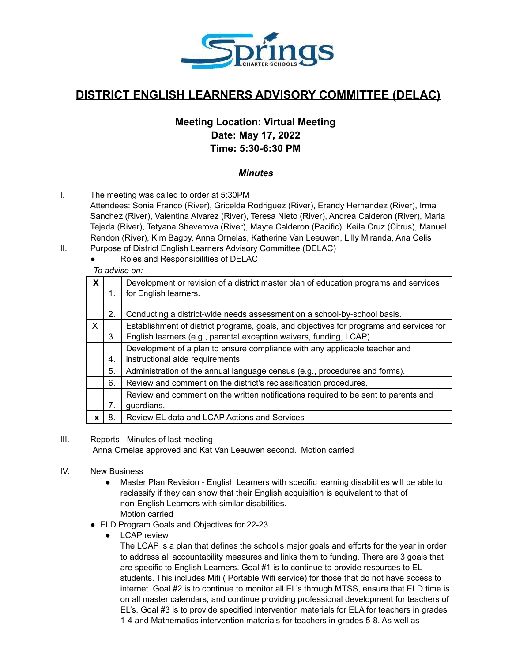

# **DISTRICT ENGLISH LEARNERS ADVISORY COMMITTEE (DELAC)**

## **Meeting Location: Virtual Meeting Date: May 17, 2022 Time: 5:30-6:30 PM**

## *Minutes*

- I. The meeting was called to order at 5:30PM
	- Attendees: Sonia Franco (River), Gricelda Rodriguez (River), Erandy Hernandez (River), Irma Sanchez (River), Valentina Alvarez (River), Teresa Nieto (River), Andrea Calderon (River), Maria Tejeda (River), Tetyana Sheverova (River), Mayte Calderon (Pacific), Keila Cruz (Citrus), Manuel Rendon (River), Kim Bagby, Anna Ornelas, Katherine Van Leeuwen, Lilly Miranda, Ana Celis
- II. Purpose of District English Learners Advisory Committee (DELAC)
	- Roles and Responsibilities of DELAC

## *To advise on:*

| X            |    | Development or revision of a district master plan of education programs and services<br>for English learners. |
|--------------|----|---------------------------------------------------------------------------------------------------------------|
|              |    |                                                                                                               |
|              | 2. | Conducting a district-wide needs assessment on a school-by-school basis.                                      |
| $\mathsf{X}$ |    | Establishment of district programs, goals, and objectives for programs and services for                       |
|              | 3. | English learners (e.g., parental exception waivers, funding, LCAP).                                           |
|              |    | Development of a plan to ensure compliance with any applicable teacher and                                    |
|              | 4. | instructional aide requirements.                                                                              |
|              | 5. | Administration of the annual language census (e.g., procedures and forms).                                    |
|              | 6. | Review and comment on the district's reclassification procedures.                                             |
|              |    | Review and comment on the written notifications required to be sent to parents and                            |
|              | 7. | guardians.                                                                                                    |
| x            | 8. | Review EL data and LCAP Actions and Services                                                                  |

#### III. Reports - Minutes of last meeting

Anna Ornelas approved and Kat Van Leeuwen second. Motion carried

- IV. New Business
	- Master Plan Revision English Learners with specific learning disabilities will be able to reclassify if they can show that their English acquisition is equivalent to that of non-English Learners with similar disabilities. Motion carried
	- ELD Program Goals and Objectives for 22-23
		- LCAP review

The LCAP is a plan that defines the school's major goals and efforts for the year in order to address all accountability measures and links them to funding. There are 3 goals that are specific to English Learners. Goal #1 is to continue to provide resources to EL students. This includes Mifi ( Portable Wifi service) for those that do not have access to internet. Goal #2 is to continue to monitor all EL's through MTSS, ensure that ELD time is on all master calendars, and continue providing professional development for teachers of EL's. Goal #3 is to provide specified intervention materials for ELA for teachers in grades 1-4 and Mathematics intervention materials for teachers in grades 5-8. As well as